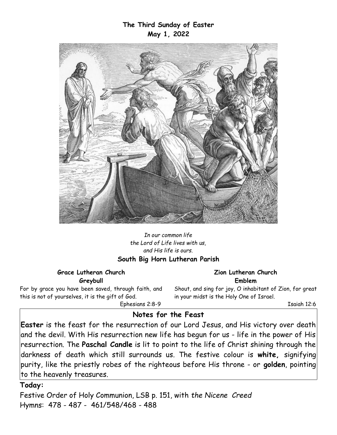#### **The Third Sunday of Easter May 1, 2022**



*In our common life the Lord of Life lives with us, and His life is ours.* **South Big Horn Lutheran Parish**

#### **Grace Lutheran Church Greybull**

For by grace you have been saved, through faith, and this is not of yourselves, it is the gift of God.

**Zion Lutheran Church Emblem**

Shout, and sing for joy, O inhabitant of Zion, for great in your midst is the Holy One of Israel.

Isaiah 12:6

Ephesians 2:8-9

# **Notes for the Feast**

**Easter** is the feast for the resurrection of our Lord Jesus, and His victory over death and the devil. With His resurrection new life has begun for us - life in the power of His resurrection. The **Paschal Candle** is lit to point to the life of Christ shining through the darkness of death which still surrounds us. The festive colour is **white,** signifying purity, like the priestly robes of the righteous before His throne - or **golden**, pointing to the heavenly treasures.

# **Today:**

Festive Order of Holy Communion, LSB p. 151, with *the Nicene Creed* Hymns: 478 - 487 - 461/548/468 - 488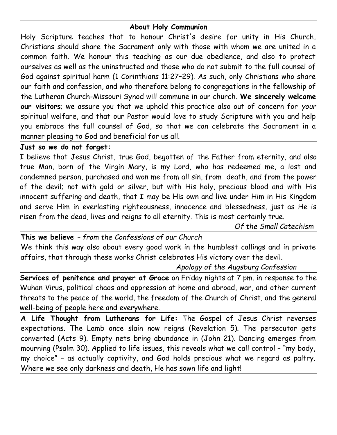# **About Holy Communion**

Holy Scripture teaches that to honour Christ's desire for unity in His Church, Christians should share the Sacrament only with those with whom we are united in a common faith. We honour this teaching as our due obedience, and also to protect ourselves as well as the uninstructed and those who do not submit to the full counsel of God against spiritual harm (1 Corinthians 11:27–29). As such, only Christians who share our faith and confession, and who therefore belong to congregations in the fellowship of the Lutheran Church-Missouri Synod will commune in our church. **We sincerely welcome our visitors**; we assure you that we uphold this practice also out of concern for *your* spiritual welfare, and that our Pastor would love to study Scripture with you and help you embrace the full counsel of God, so that we can celebrate the Sacrament in a manner pleasing to God and beneficial for us all.

#### **Just so we do not forget:**

I believe that Jesus Christ, true God, begotten of the Father from eternity, and also true Man, born of the Virgin Mary, is my Lord, who has redeemed me, a lost and condemned person, purchased and won me from all sin, from death, and from the power of the devil; not with gold or silver, but with His holy, precious blood and with His innocent suffering and death, that I may be His own and live under Him in His Kingdom and serve Him in everlasting righteousness, innocence and blessedness, just as He is risen from the dead, lives and reigns to all eternity. This is most certainly true.

*Of the Small Catechism*

**This we believe** *– from the Confessions of our Church* We think this way also about every good work in the humblest callings and in private affairs, that through these works Christ celebrates His victory over the devil.

*Apology of the Augsburg Confession*

**Services of penitence and prayer at Grace** on Friday nights at 7 pm. in response to the Wuhan Virus, political chaos and oppression at home and abroad, war, and other current threats to the peace of the world, the freedom of the Church of Christ, and the general well-being of people here and everywhere.

**A Life Thought from Lutherans for Life:** The Gospel of Jesus Christ reverses expectations. The Lamb once slain now reigns (Revelation 5). The persecutor gets converted (Acts 9). Empty nets bring abundance in (John 21). Dancing emerges from mourning (Psalm 30). Applied to life issues, this reveals what we call control – "my body, my choice" – as actually captivity, and God holds precious what we regard as paltry. Where we see only darkness and death, He has sown life and light!